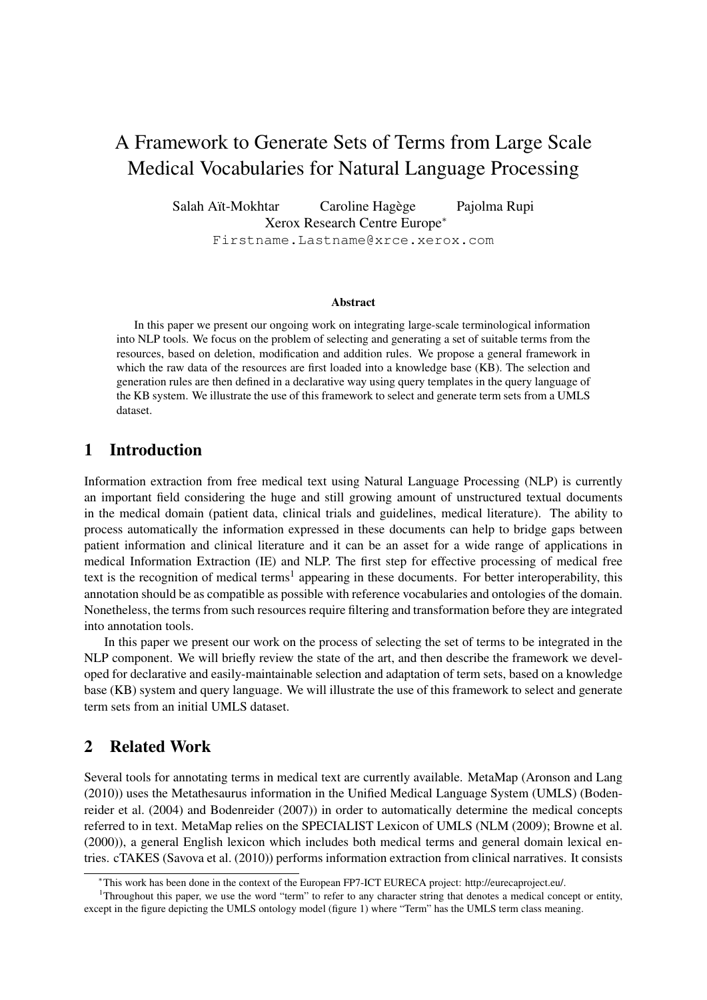# A Framework to Generate Sets of Terms from Large Scale Medical Vocabularies for Natural Language Processing

Salah Aït-Mokhtar Caroline Hagège Pajolma Rupi Xerox Research Centre Europe<sup>∗</sup> Firstname.Lastname@xrce.xerox.com

#### **Abstract**

In this paper we present our ongoing work on integrating large-scale terminological information into NLP tools. We focus on the problem of selecting and generating a set of suitable terms from the resources, based on deletion, modification and addition rules. We propose a general framework in which the raw data of the resources are first loaded into a knowledge base (KB). The selection and generation rules are then defined in a declarative way using query templates in the query language of the KB system. We illustrate the use of this framework to select and generate term sets from a UMLS dataset.

### 1 Introduction

Information extraction from free medical text using Natural Language Processing (NLP) is currently an important field considering the huge and still growing amount of unstructured textual documents in the medical domain (patient data, clinical trials and guidelines, medical literature). The ability to process automatically the information expressed in these documents can help to bridge gaps between patient information and clinical literature and it can be an asset for a wide range of applications in medical Information Extraction (IE) and NLP. The first step for effective processing of medical free text is the recognition of medical terms<sup>1</sup> appearing in these documents. For better interoperability, this annotation should be as compatible as possible with reference vocabularies and ontologies of the domain. Nonetheless, the terms from such resources require filtering and transformation before they are integrated into annotation tools.

In this paper we present our work on the process of selecting the set of terms to be integrated in the NLP component. We will briefly review the state of the art, and then describe the framework we developed for declarative and easily-maintainable selection and adaptation of term sets, based on a knowledge base (KB) system and query language. We will illustrate the use of this framework to select and generate term sets from an initial UMLS dataset.

# 2 Related Work

Several tools for annotating terms in medical text are currently available. MetaMap (Aronson and Lang (2010)) uses the Metathesaurus information in the Unified Medical Language System (UMLS) (Bodenreider et al. (2004) and Bodenreider (2007)) in order to automatically determine the medical concepts referred to in text. MetaMap relies on the SPECIALIST Lexicon of UMLS (NLM (2009); Browne et al. (2000)), a general English lexicon which includes both medical terms and general domain lexical entries. cTAKES (Savova et al. (2010)) performs information extraction from clinical narratives. It consists

<sup>∗</sup>This work has been done in the context of the European FP7-ICT EURECA project: http://eurecaproject.eu/.

<sup>&</sup>lt;sup>1</sup>Throughout this paper, we use the word "term" to refer to any character string that denotes a medical concept or entity, except in the figure depicting the UMLS ontology model (figure 1) where "Term" has the UMLS term class meaning.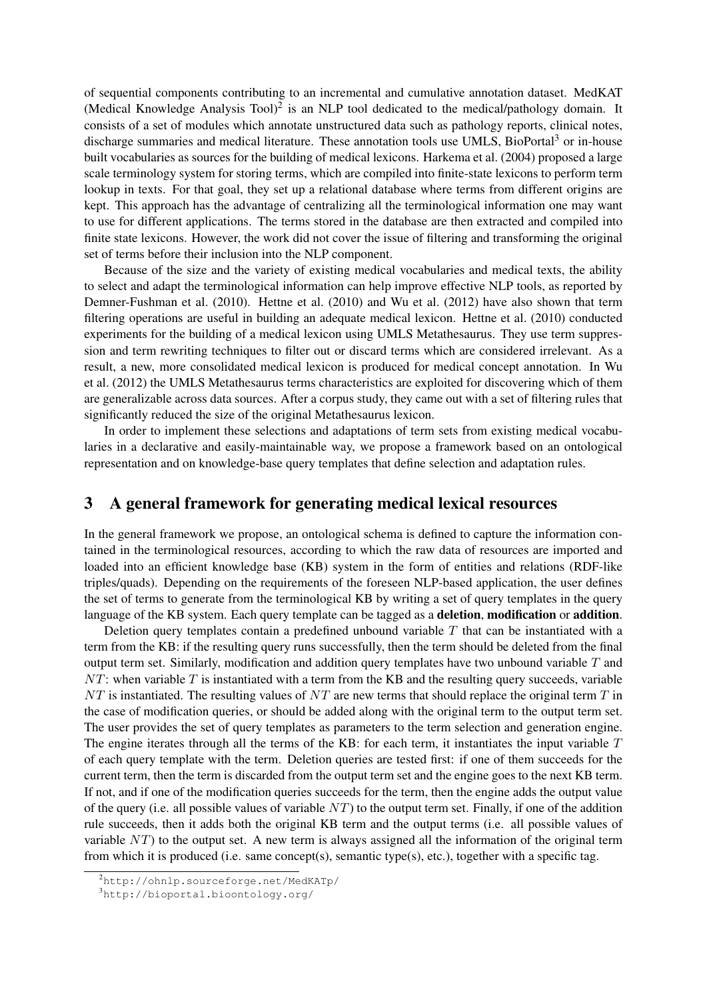of sequential components contributing to an incremental and cumulative annotation dataset. MedKAT (Medical Knowledge Analysis Tool)<sup>2</sup> is an NLP tool dedicated to the medical/pathology domain. It consists of a set of modules which annotate unstructured data such as pathology reports, clinical notes, discharge summaries and medical literature. These annotation tools use UMLS, BioPortal<sup>3</sup> or in-house built vocabularies as sources for the building of medical lexicons. Harkema et al. (2004) proposed a large scale terminology system for storing terms, which are compiled into finite-state lexicons to perform term lookup in texts. For that goal, they set up a relational database where terms from different origins are kept. This approach has the advantage of centralizing all the terminological information one may want to use for different applications. The terms stored in the database are then extracted and compiled into finite state lexicons. However, the work did not cover the issue of filtering and transforming the original set of terms before their inclusion into the NLP component.

Because of the size and the variety of existing medical vocabularies and medical texts, the ability to select and adapt the terminological information can help improve effective NLP tools, as reported by Demner-Fushman et al. (2010). Hettne et al. (2010) and Wu et al. (2012) have also shown that term filtering operations are useful in building an adequate medical lexicon. Hettne et al. (2010) conducted experiments for the building of a medical lexicon using UMLS Metathesaurus. They use term suppression and term rewriting techniques to filter out or discard terms which are considered irrelevant. As a result, a new, more consolidated medical lexicon is produced for medical concept annotation. In Wu et al. (2012) the UMLS Metathesaurus terms characteristics are exploited for discovering which of them are generalizable across data sources. After a corpus study, they came out with a set of filtering rules that significantly reduced the size of the original Metathesaurus lexicon.

In order to implement these selections and adaptations of term sets from existing medical vocabularies in a declarative and easily-maintainable way, we propose a framework based on an ontological representation and on knowledge-base query templates that define selection and adaptation rules.

# 3 A general framework for generating medical lexical resources

In the general framework we propose, an ontological schema is defined to capture the information contained in the terminological resources, according to which the raw data of resources are imported and loaded into an efficient knowledge base (KB) system in the form of entities and relations (RDF-like triples/quads). Depending on the requirements of the foreseen NLP-based application, the user defines the set of terms to generate from the terminological KB by writing a set of query templates in the query language of the KB system. Each query template can be tagged as a deletion, modification or addition.

Deletion query templates contain a predefined unbound variable  $T$  that can be instantiated with a term from the KB: if the resulting query runs successfully, then the term should be deleted from the final output term set. Similarly, modification and addition query templates have two unbound variable  $T$  and  $NT$ : when variable T is instantiated with a term from the KB and the resulting query succeeds, variable  $NT$  is instantiated. The resulting values of  $NT$  are new terms that should replace the original term  $T$  in the case of modification queries, or should be added along with the original term to the output term set. The user provides the set of query templates as parameters to the term selection and generation engine. The engine iterates through all the terms of the KB: for each term, it instantiates the input variable  $T$ of each query template with the term. Deletion queries are tested first: if one of them succeeds for the current term, then the term is discarded from the output term set and the engine goes to the next KB term. If not, and if one of the modification queries succeeds for the term, then the engine adds the output value of the query (i.e. all possible values of variable  $NT$ ) to the output term set. Finally, if one of the addition rule succeeds, then it adds both the original KB term and the output terms (i.e. all possible values of variable  $NT$ ) to the output set. A new term is always assigned all the information of the original term from which it is produced (i.e. same concept(s), semantic type(s), etc.), together with a specific tag.

<sup>2</sup>http://ohnlp.sourceforge.net/MedKATp/

<sup>3</sup>http://bioportal.bioontology.org/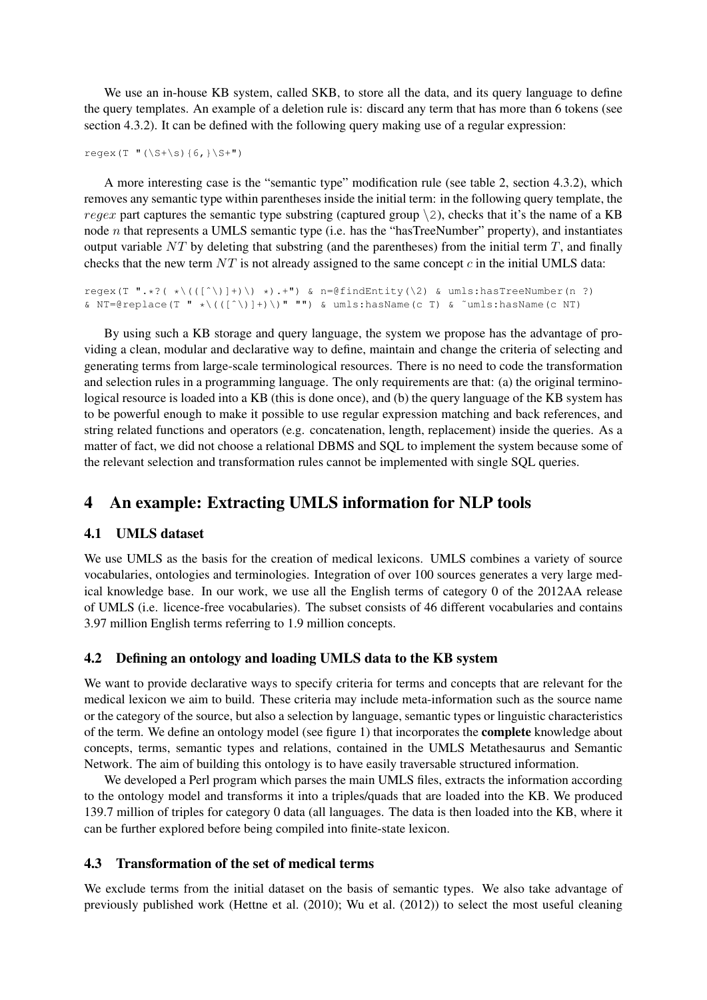We use an in-house KB system, called SKB, to store all the data, and its query language to define the query templates. An example of a deletion rule is: discard any term that has more than 6 tokens (see section 4.3.2). It can be defined with the following query making use of a regular expression:

regex(T  $"(\S+\s)$ {6,}\S+")

A more interesting case is the "semantic type" modification rule (see table 2, section 4.3.2), which removes any semantic type within parentheses inside the initial term: in the following query template, the *regex* part captures the semantic type substring (captured group  $\2)$ ), checks that it's the name of a KB node  $n$  that represents a UMLS semantic type (i.e. has the "hasTreeNumber" property), and instantiates output variable  $NT$  by deleting that substring (and the parentheses) from the initial term  $T$ , and finally checks that the new term  $NT$  is not already assigned to the same concept c in the initial UMLS data:

regex(T ".\*?( \*\(([^\)]+)\) \*).+") & n=@findEntity(\2) & umls:hasTreeNumber(n ?) & NT=@replace(T " \*\(([^\)]+)\)" "") & umls:hasName(c T) & ~umls:hasName(c NT)

By using such a KB storage and query language, the system we propose has the advantage of providing a clean, modular and declarative way to define, maintain and change the criteria of selecting and generating terms from large-scale terminological resources. There is no need to code the transformation and selection rules in a programming language. The only requirements are that: (a) the original terminological resource is loaded into a KB (this is done once), and (b) the query language of the KB system has to be powerful enough to make it possible to use regular expression matching and back references, and string related functions and operators (e.g. concatenation, length, replacement) inside the queries. As a matter of fact, we did not choose a relational DBMS and SQL to implement the system because some of the relevant selection and transformation rules cannot be implemented with single SQL queries.

# 4 An example: Extracting UMLS information for NLP tools

#### 4.1 UMLS dataset

We use UMLS as the basis for the creation of medical lexicons. UMLS combines a variety of source vocabularies, ontologies and terminologies. Integration of over 100 sources generates a very large medical knowledge base. In our work, we use all the English terms of category 0 of the 2012AA release of UMLS (i.e. licence-free vocabularies). The subset consists of 46 different vocabularies and contains 3.97 million English terms referring to 1.9 million concepts.

#### 4.2 Defining an ontology and loading UMLS data to the KB system

We want to provide declarative ways to specify criteria for terms and concepts that are relevant for the medical lexicon we aim to build. These criteria may include meta-information such as the source name or the category of the source, but also a selection by language, semantic types or linguistic characteristics of the term. We define an ontology model (see figure 1) that incorporates the complete knowledge about concepts, terms, semantic types and relations, contained in the UMLS Metathesaurus and Semantic Network. The aim of building this ontology is to have easily traversable structured information.

We developed a Perl program which parses the main UMLS files, extracts the information according to the ontology model and transforms it into a triples/quads that are loaded into the KB. We produced 139.7 million of triples for category 0 data (all languages. The data is then loaded into the KB, where it can be further explored before being compiled into finite-state lexicon.

#### 4.3 Transformation of the set of medical terms

We exclude terms from the initial dataset on the basis of semantic types. We also take advantage of previously published work (Hettne et al. (2010); Wu et al. (2012)) to select the most useful cleaning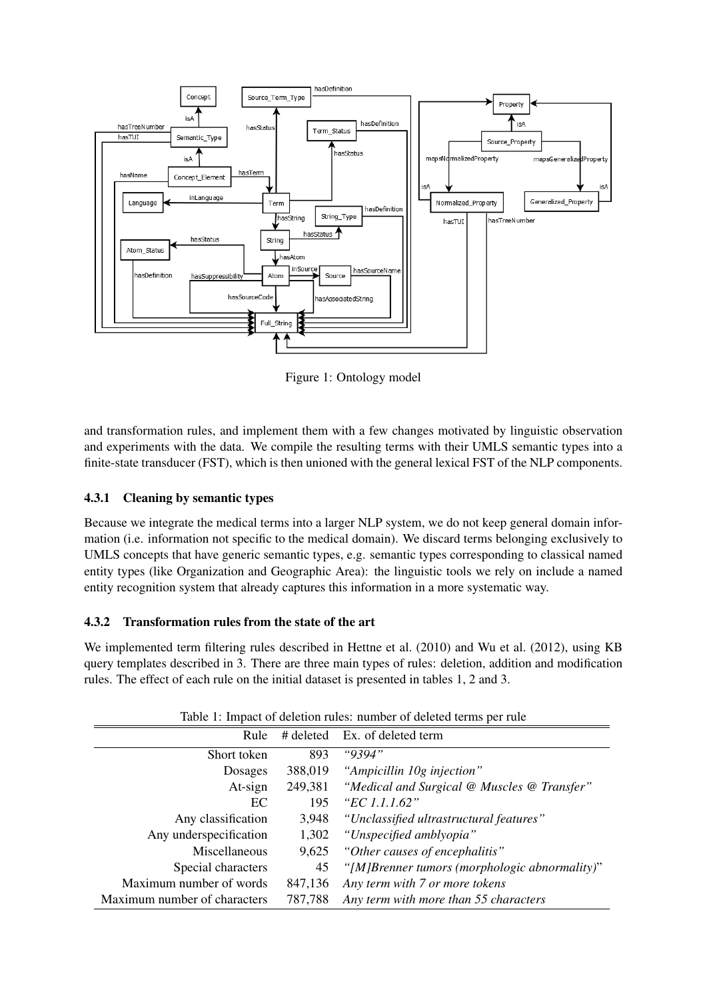

Figure 1: Ontology model

and transformation rules, and implement them with a few changes motivated by linguistic observation and experiments with the data. We compile the resulting terms with their UMLS semantic types into a finite-state transducer (FST), which is then unioned with the general lexical FST of the NLP components.

#### 4.3.1 Cleaning by semantic types

Because we integrate the medical terms into a larger NLP system, we do not keep general domain information (i.e. information not specific to the medical domain). We discard terms belonging exclusively to UMLS concepts that have generic semantic types, e.g. semantic types corresponding to classical named entity types (like Organization and Geographic Area): the linguistic tools we rely on include a named entity recognition system that already captures this information in a more systematic way.

#### 4.3.2 Transformation rules from the state of the art

We implemented term filtering rules described in Hettne et al. (2010) and Wu et al. (2012), using KB query templates described in 3. There are three main types of rules: deletion, addition and modification rules. The effect of each rule on the initial dataset is presented in tables 1, 2 and 3.

| Rule                         |         | # deleted Ex. of deleted term                 |
|------------------------------|---------|-----------------------------------------------|
| Short token                  | 893     | "9394"                                        |
| Dosages                      | 388,019 | "Ampicillin 10g injection"                    |
| At-sign                      | 249,381 | "Medical and Surgical @ Muscles @ Transfer"   |
| EC                           | 195     | "EC 1.1.1.62"                                 |
| Any classification           | 3,948   | "Unclassified ultrastructural features"       |
| Any underspecification       | 1,302   | "Unspecified amblyopia"                       |
| Miscellaneous                | 9,625   | "Other causes of encephalitis"                |
| Special characters           | 45      | "[M]Brenner tumors (morphologic abnormality)" |
| Maximum number of words      | 847,136 | Any term with 7 or more tokens                |
| Maximum number of characters | 787,788 | Any term with more than 55 characters         |

Table 1: Impact of deletion rules: number of deleted terms per rule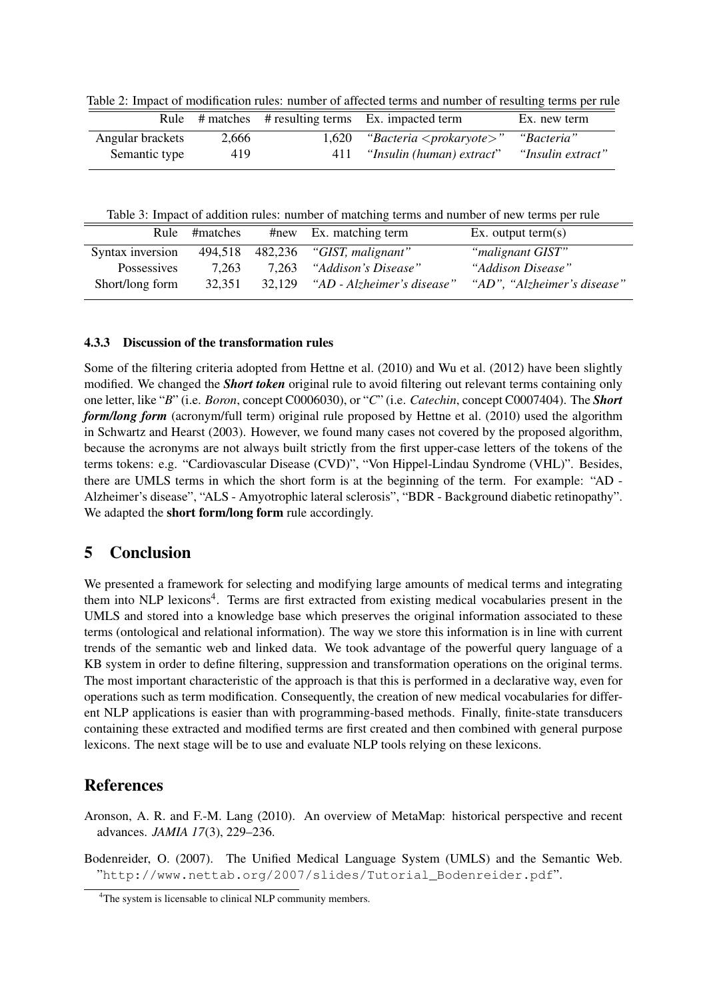|                  |       |     | Rule # matches # resulting terms Ex. impacted term | Ex. new term      |
|------------------|-------|-----|----------------------------------------------------|-------------------|
| Angular brackets | 2.666 |     | 1,620 "Bacteria $\langle$ prokaryote $\rangle$ "   | <i>"Bacteria"</i> |
| Semantic type    | 419   | 411 | "Insulin (human) extract"                          | "Insulin extract" |

Table 2: Impact of modification rules: number of affected terms and number of resulting terms per rule

Table 3: Impact of addition rules: number of matching terms and number of new terms per rule

|                  | Rule #matches |        | #new Ex. matching term            | Ex. output term $(s)$       |
|------------------|---------------|--------|-----------------------------------|-----------------------------|
| Syntax inversion |               |        | 494,518 482,236 "GIST, malignant" | "malignant GIST"            |
| Possessives      | 7,263         |        | 7,263 "Addison's Disease"         | "Addison Disease"           |
| Short/long form  | 32,351        | 32.129 | "AD - Alzheimer's disease"        | "AD", "Alzheimer's disease" |

#### 4.3.3 Discussion of the transformation rules

Some of the filtering criteria adopted from Hettne et al. (2010) and Wu et al. (2012) have been slightly modified. We changed the *Short token* original rule to avoid filtering out relevant terms containing only one letter, like "*B*" (i.e. *Boron*, concept C0006030), or "*C*" (i.e. *Catechin*, concept C0007404). The *Short form/long form* (acronym/full term) original rule proposed by Hettne et al. (2010) used the algorithm in Schwartz and Hearst (2003). However, we found many cases not covered by the proposed algorithm, because the acronyms are not always built strictly from the first upper-case letters of the tokens of the terms tokens: e.g. "Cardiovascular Disease (CVD)", "Von Hippel-Lindau Syndrome (VHL)". Besides, there are UMLS terms in which the short form is at the beginning of the term. For example: "AD - Alzheimer's disease", "ALS - Amyotrophic lateral sclerosis", "BDR - Background diabetic retinopathy". We adapted the **short form/long form** rule accordingly.

# 5 Conclusion

We presented a framework for selecting and modifying large amounts of medical terms and integrating them into NLP lexicons<sup>4</sup>. Terms are first extracted from existing medical vocabularies present in the UMLS and stored into a knowledge base which preserves the original information associated to these terms (ontological and relational information). The way we store this information is in line with current trends of the semantic web and linked data. We took advantage of the powerful query language of a KB system in order to define filtering, suppression and transformation operations on the original terms. The most important characteristic of the approach is that this is performed in a declarative way, even for operations such as term modification. Consequently, the creation of new medical vocabularies for different NLP applications is easier than with programming-based methods. Finally, finite-state transducers containing these extracted and modified terms are first created and then combined with general purpose lexicons. The next stage will be to use and evaluate NLP tools relying on these lexicons.

# References

Aronson, A. R. and F.-M. Lang (2010). An overview of MetaMap: historical perspective and recent advances. *JAMIA 17*(3), 229–236.

Bodenreider, O. (2007). The Unified Medical Language System (UMLS) and the Semantic Web. "http://www.nettab.org/2007/slides/Tutorial\_Bodenreider.pdf".

<sup>&</sup>lt;sup>4</sup>The system is licensable to clinical NLP community members.